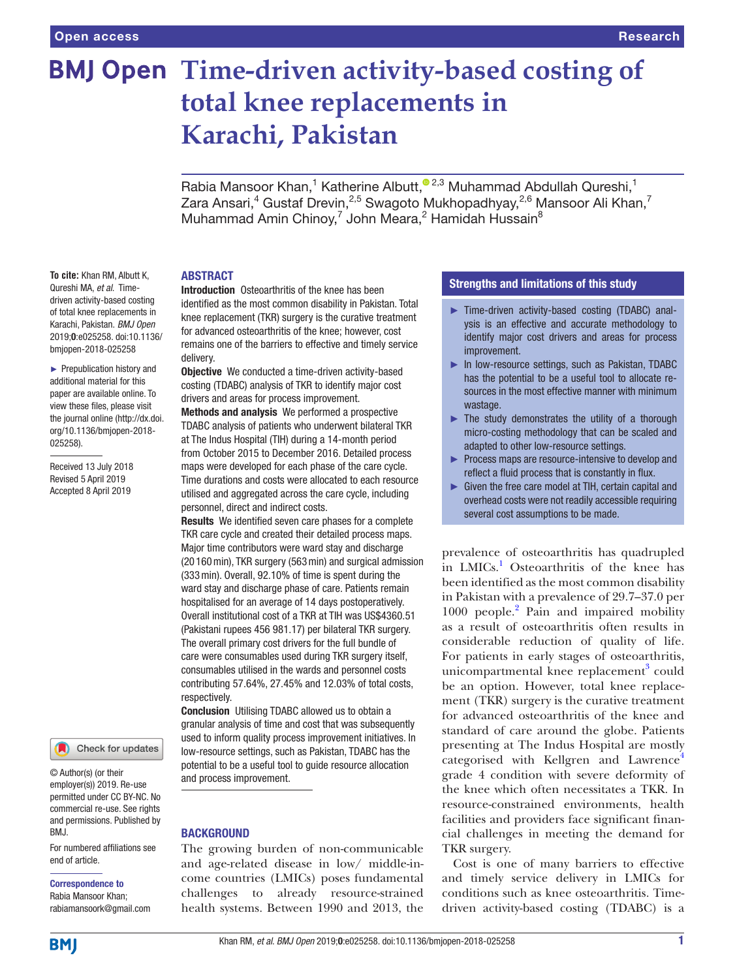# **BMJ Open Time-driven activity-based costing of total knee replacements in Karachi, Pakistan**

Rabia Mansoor Khan,<sup>1</sup> Katherine Albutt,<sup>® 2,3</sup> Muhammad Abdullah Qureshi,<sup>1</sup> Zara Ansari, $^4$  Gustaf Drevin, $^{2,5}$  Swagoto Mukhopadhyay, $^{2,6}$  Mansoor Ali Khan, $^7$ Muhammad Amin Chinoy,<sup>7</sup> John Meara,<sup>2</sup> Hamidah Hussain<sup>8</sup>

#### **ABSTRACT**

Introduction Osteoarthritis of the knee has been identified as the most common disability in Pakistan. Total knee replacement (TKR) surgery is the curative treatment for advanced osteoarthritis of the knee; however, cost remains one of the barriers to effective and timely service delivery.

**Objective** We conducted a time-driven activity-based costing (TDABC) analysis of TKR to identify major cost drivers and areas for process improvement.

Methods and analysis We performed a prospective TDABC analysis of patients who underwent bilateral TKR at The Indus Hospital (TIH) during a 14-month period from October 2015 to December 2016. Detailed process maps were developed for each phase of the care cycle. Time durations and costs were allocated to each resource utilised and aggregated across the care cycle, including personnel, direct and indirect costs.

Results We identified seven care phases for a complete TKR care cycle and created their detailed process maps. Major time contributors were ward stay and discharge (20 160min), TKR surgery (563min) and surgical admission (333min). Overall, 92.10% of time is spent during the ward stay and discharge phase of care. Patients remain hospitalised for an average of 14 days postoperatively. Overall institutional cost of a TKR at TIH was US\$4360.51 (Pakistani rupees 456 981.17) per bilateral TKR surgery. The overall primary cost drivers for the full bundle of care were consumables used during TKR surgery itself, consumables utilised in the wards and personnel costs contributing 57.64%, 27.45% and 12.03% of total costs, respectively.

Conclusion Utilising TDABC allowed us to obtain a granular analysis of time and cost that was subsequently used to inform quality process improvement initiatives. In low-resource settings, such as Pakistan, TDABC has the potential to be a useful tool to guide resource allocation and process improvement.

#### **BACKGROUND**

The growing burden of non-communicable and age-related disease in low/ middle-income countries (LMICs) poses fundamental challenges to already resource-strained health systems. Between 1990 and 2013, the

#### Strengths and limitations of this study

- ► Time-driven activity-based costing (TDABC) analysis is an effective and accurate methodology to identify major cost drivers and areas for process improvement.
- ► In low-resource settings, such as Pakistan, TDABC has the potential to be a useful tool to allocate resources in the most effective manner with minimum wastage.
- $\blacktriangleright$  The study demonstrates the utility of a thorough micro-costing methodology that can be scaled and adapted to other low-resource settings.
- ► Process maps are resource-intensive to develop and reflect a fluid process that is constantly in flux.
- ► Given the free care model at TIH, certain capital and overhead costs were not readily accessible requiring several cost assumptions to be made.

prevalence of osteoarthritis has quadrupled in LMICs.<sup>1</sup> Osteoarthritis of the knee has been identified as the most common disability in Pakistan with a prevalence of 29.7–37.0 per 1000 people.<sup>2</sup> Pain and impaired mobility as a result of osteoarthritis often results in considerable reduction of quality of life. For patients in early stages of osteoarthritis, unicompartmental knee replacement<sup>[3](#page-6-2)</sup> could be an option. However, total knee replacement (TKR) surgery is the curative treatment for advanced osteoarthritis of the knee and standard of care around the globe. Patients presenting at The Indus Hospital are mostly categorised with Kellgren and Lawrence<sup>4</sup> grade 4 condition with severe deformity of the knee which often necessitates a TKR. In resource-constrained environments, health facilities and providers face significant financial challenges in meeting the demand for TKR surgery.

Cost is one of many barriers to effective and timely service delivery in LMICs for conditions such as knee osteoarthritis. Timedriven activity-based costing (TDABC) is a

**To cite:** Khan RM, Albutt K, Qureshi MA, *et al*. Timedriven activity-based costing of total knee replacements in Karachi, Pakistan. *BMJ Open* 2019;0:e025258. doi:10.1136/ bmjopen-2018-025258

► Prepublication history and additional material for this paper are available online. To view these files, please visit the journal online [\(http://dx.doi.](http://dx.doi.org/10.1136/bmjopen-2018-025258) [org/10.1136/bmjopen-2018-](http://dx.doi.org/10.1136/bmjopen-2018-025258) [025258\)](http://dx.doi.org/10.1136/bmjopen-2018-025258).

Received 13 July 2018 Revised 5 April 2019 Accepted 8 April 2019



© Author(s) (or their employer(s)) 2019. Re-use permitted under CC BY-NC. No commercial re-use. See rights and permissions. Published by BMJ.

For numbered affiliations see end of article.

#### Correspondence to

Rabia Mansoor Khan; rabiamansoork@gmail.com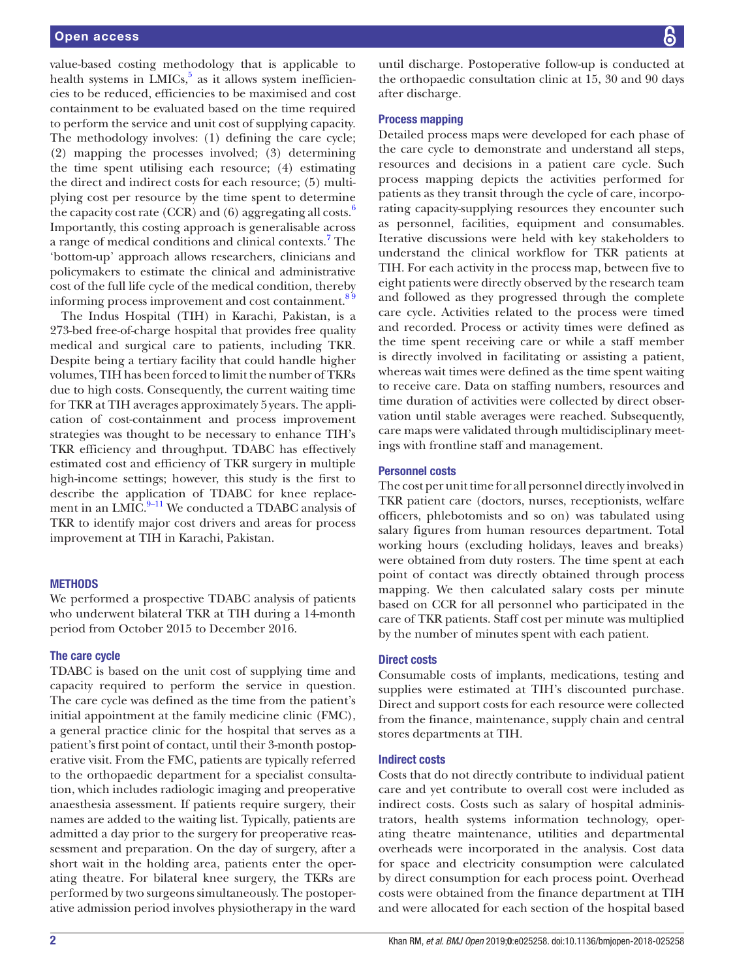value-based costing methodology that is applicable to health systems in  $LMICs$ ,<sup>[5](#page-6-4)</sup> as it allows system inefficiencies to be reduced, efficiencies to be maximised and cost containment to be evaluated based on the time required to perform the service and unit cost of supplying capacity. The methodology involves: (1) defining the care cycle; (2) mapping the processes involved; (3) determining the time spent utilising each resource; (4) estimating the direct and indirect costs for each resource; (5) multiplying cost per resource by the time spent to determine the capacity cost rate (CCR) and ([6](#page-6-5)) aggregating all costs. $^{\circ}$ Importantly, this costing approach is generalisable across a range of medical conditions and clinical contexts.<sup>[7](#page-6-6)</sup> The 'bottom-up' approach allows researchers, clinicians and policymakers to estimate the clinical and administrative cost of the full life cycle of the medical condition, thereby informing process improvement and cost containment.<sup>89</sup>

The Indus Hospital (TIH) in Karachi, Pakistan, is a 273-bed free-of-charge hospital that provides free quality medical and surgical care to patients, including TKR. Despite being a tertiary facility that could handle higher volumes, TIH has been forced to limit the number of TKRs due to high costs. Consequently, the current waiting time for TKR at TIH averages approximately 5years. The application of cost-containment and process improvement strategies was thought to be necessary to enhance TIH's TKR efficiency and throughput. TDABC has effectively estimated cost and efficiency of TKR surgery in multiple high-income settings; however, this study is the first to describe the application of TDABC for knee replacement in an LMIC. $9-11$  We conducted a TDABC analysis of TKR to identify major cost drivers and areas for process improvement at TIH in Karachi, Pakistan.

#### **METHODS**

We performed a prospective TDABC analysis of patients who underwent bilateral TKR at TIH during a 14-month period from October 2015 to December 2016.

#### The care cycle

TDABC is based on the unit cost of supplying time and capacity required to perform the service in question. The care cycle was defined as the time from the patient's initial appointment at the family medicine clinic (FMC), a general practice clinic for the hospital that serves as a patient's first point of contact, until their 3-month postoperative visit. From the FMC, patients are typically referred to the orthopaedic department for a specialist consultation, which includes radiologic imaging and preoperative anaesthesia assessment. If patients require surgery, their names are added to the waiting list. Typically, patients are admitted a day prior to the surgery for preoperative reassessment and preparation. On the day of surgery, after a short wait in the holding area, patients enter the operating theatre. For bilateral knee surgery, the TKRs are performed by two surgeons simultaneously. The postoperative admission period involves physiotherapy in the ward

until discharge. Postoperative follow-up is conducted at the orthopaedic consultation clinic at 15, 30 and 90 days after discharge.

#### Process mapping

Detailed process maps were developed for each phase of the care cycle to demonstrate and understand all steps, resources and decisions in a patient care cycle. Such process mapping depicts the activities performed for patients as they transit through the cycle of care, incorporating capacity-supplying resources they encounter such as personnel, facilities, equipment and consumables. Iterative discussions were held with key stakeholders to understand the clinical workflow for TKR patients at TIH. For each activity in the process map, between five to eight patients were directly observed by the research team and followed as they progressed through the complete care cycle. Activities related to the process were timed and recorded. Process or activity times were defined as the time spent receiving care or while a staff member is directly involved in facilitating or assisting a patient, whereas wait times were defined as the time spent waiting to receive care. Data on staffing numbers, resources and time duration of activities were collected by direct observation until stable averages were reached. Subsequently, care maps were validated through multidisciplinary meetings with frontline staff and management.

#### Personnel costs

The cost per unit time for all personnel directly involved in TKR patient care (doctors, nurses, receptionists, welfare officers, phlebotomists and so on) was tabulated using salary figures from human resources department. Total working hours (excluding holidays, leaves and breaks) were obtained from duty rosters. The time spent at each point of contact was directly obtained through process mapping. We then calculated salary costs per minute based on CCR for all personnel who participated in the care of TKR patients. Staff cost per minute was multiplied by the number of minutes spent with each patient.

#### Direct costs

Consumable costs of implants, medications, testing and supplies were estimated at TIH's discounted purchase. Direct and support costs for each resource were collected from the finance, maintenance, supply chain and central stores departments at TIH.

#### Indirect costs

Costs that do not directly contribute to individual patient care and yet contribute to overall cost were included as indirect costs. Costs such as salary of hospital administrators, health systems information technology, operating theatre maintenance, utilities and departmental overheads were incorporated in the analysis. Cost data for space and electricity consumption were calculated by direct consumption for each process point. Overhead costs were obtained from the finance department at TIH and were allocated for each section of the hospital based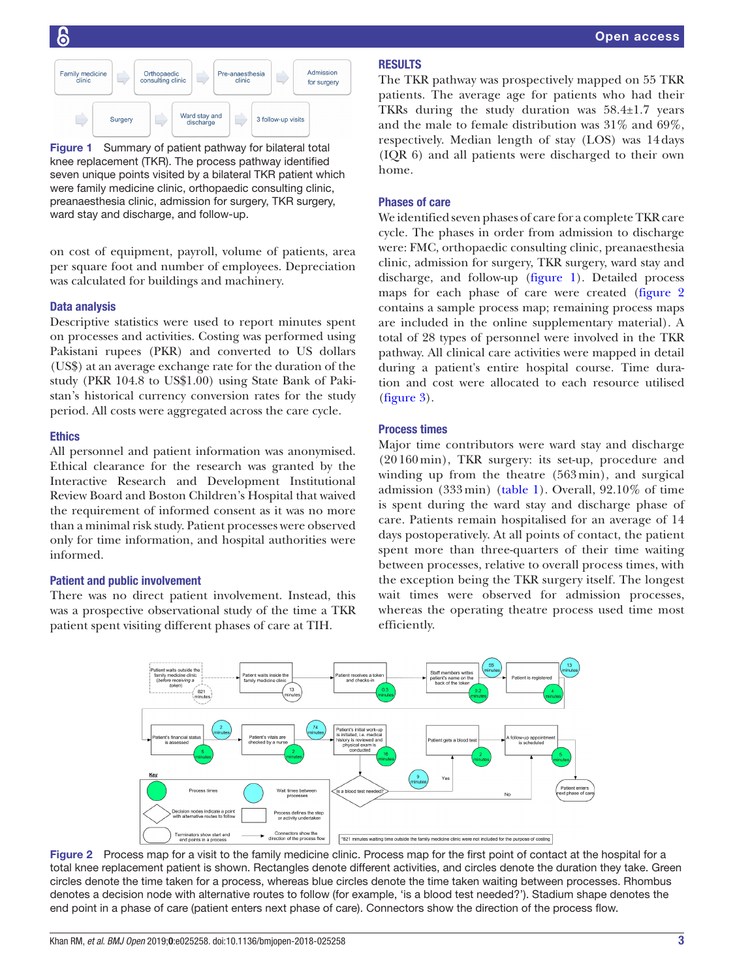

<span id="page-2-0"></span>Figure 1 Summary of patient pathway for bilateral total knee replacement (TKR). The process pathway identified seven unique points visited by a bilateral TKR patient which were family medicine clinic, orthopaedic consulting clinic, preanaesthesia clinic, admission for surgery, TKR surgery, ward stay and discharge, and follow-up.

on cost of equipment, payroll, volume of patients, area per square foot and number of employees. Depreciation was calculated for buildings and machinery.

#### Data analysis

Descriptive statistics were used to report minutes spent on processes and activities. Costing was performed using Pakistani rupees (PKR) and converted to US dollars (US\$) at an average exchange rate for the duration of the study (PKR 104.8 to US\$1.00) using State Bank of Pakistan's historical currency conversion rates for the study period. All costs were aggregated across the care cycle.

#### Ethics

All personnel and patient information was anonymised. Ethical clearance for the research was granted by the Interactive Research and Development Institutional Review Board and Boston Children's Hospital that waived the requirement of informed consent as it was no more than a minimal risk study. Patient processes were observed only for time information, and hospital authorities were informed.

#### Patient and public involvement

There was no direct patient involvement. Instead, this was a prospective observational study of the time a TKR patient spent visiting different phases of care at TIH.

#### **RESULTS**

The TKR pathway was prospectively mapped on 55 TKR patients. The average age for patients who had their TKRs during the study duration was 58.4±1.7 years and the male to female distribution was 31% and 69%, respectively. Median length of stay (LOS) was 14days (IQR 6) and all patients were discharged to their own home.

#### Phases of care

We identified seven phases of care for a complete TKR care cycle. The phases in order from admission to discharge were: FMC, orthopaedic consulting clinic, preanaesthesia clinic, admission for surgery, TKR surgery, ward stay and discharge, and follow-up [\(figure](#page-2-0) 1). Detailed process maps for each phase of care were created ([figure](#page-2-1) 2 contains a sample process map; remaining process maps are included in the online [supplementary material\)](https://dx.doi.org/10.1136/bmjopen-2018-025258). A total of 28 types of personnel were involved in the TKR pathway. All clinical care activities were mapped in detail during a patient's entire hospital course. Time duration and cost were allocated to each resource utilised [\(figure](#page-3-0) 3).

#### Process times

Major time contributors were ward stay and discharge (20 160 min), TKR surgery: its set-up, procedure and winding up from the theatre (563min), and surgical admission  $(333 \text{ min})$  ([table](#page-3-1) 1). Overall,  $92.10\%$  of time is spent during the ward stay and discharge phase of care. Patients remain hospitalised for an average of 14 days postoperatively. At all points of contact, the patient spent more than three-quarters of their time waiting between processes, relative to overall process times, with the exception being the TKR surgery itself. The longest wait times were observed for admission processes, whereas the operating theatre process used time most efficiently.



<span id="page-2-1"></span>Figure 2 Process map for a visit to the family medicine clinic. Process map for the first point of contact at the hospital for a total knee replacement patient is shown. Rectangles denote different activities, and circles denote the duration they take. Green circles denote the time taken for a process, whereas blue circles denote the time taken waiting between processes. Rhombus denotes a decision node with alternative routes to follow (for example, 'is a blood test needed?'). Stadium shape denotes the end point in a phase of care (patient enters next phase of care). Connectors show the direction of the process flow.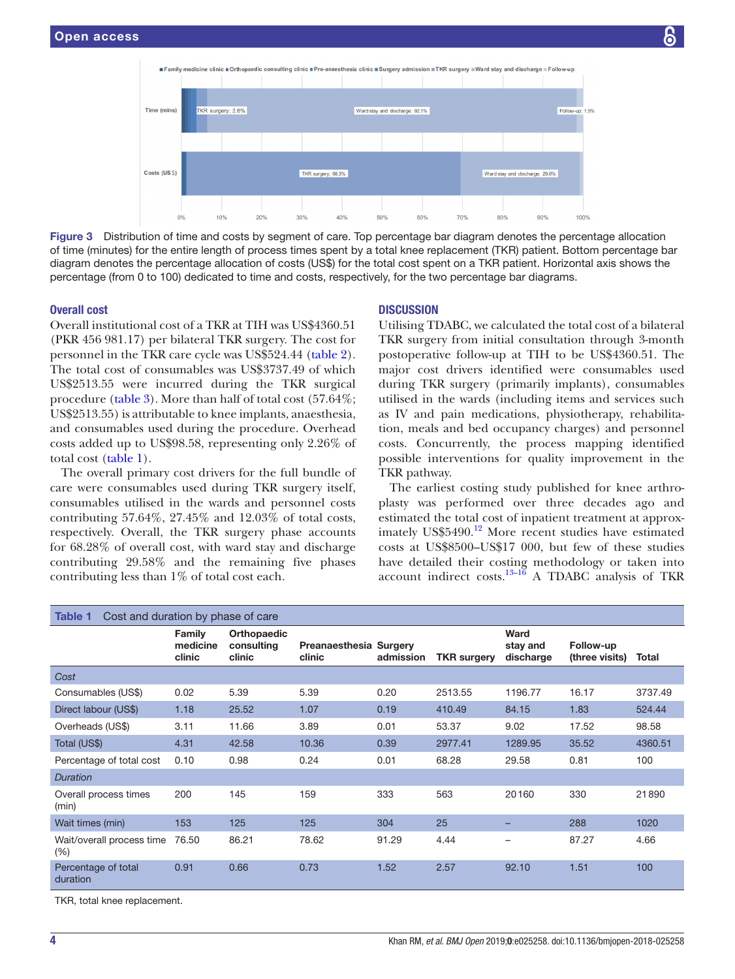<span id="page-3-0"></span>

Figure 3 Distribution of time and costs by segment of care. Top percentage bar diagram denotes the percentage allocation of time (minutes) for the entire length of process times spent by a total knee replacement (TKR) patient. Bottom percentage bar diagram denotes the percentage allocation of costs (US\$) for the total cost spent on a TKR patient. Horizontal axis shows the percentage (from 0 to 100) dedicated to time and costs, respectively, for the two percentage bar diagrams.

#### Overall cost

Overall institutional cost of a TKR at TIH was US\$4360.51 (PKR 456 981.17) per bilateral TKR surgery. The cost for personnel in the TKR care cycle was US\$524.44 [\(table](#page-4-0) 2). The total cost of consumables was US\$3737.49 of which US\$2513.55 were incurred during the TKR surgical procedure ([table](#page-5-0) 3). More than half of total cost (57.64%; US\$2513.55) is attributable to knee implants, anaesthesia, and consumables used during the procedure. Overhead costs added up to US\$98.58, representing only 2.26% of total cost ([table](#page-3-1) 1).

The overall primary cost drivers for the full bundle of care were consumables used during TKR surgery itself, consumables utilised in the wards and personnel costs contributing 57.64%, 27.45% and 12.03% of total costs, respectively. Overall, the TKR surgery phase accounts for 68.28% of overall cost, with ward stay and discharge contributing 29.58% and the remaining five phases contributing less than 1% of total cost each.

#### **DISCUSSION**

Utilising TDABC, we calculated the total cost of a bilateral TKR surgery from initial consultation through 3-month postoperative follow-up at TIH to be US\$4360.51. The major cost drivers identified were consumables used during TKR surgery (primarily implants), consumables utilised in the wards (including items and services such as IV and pain medications, physiotherapy, rehabilitation, meals and bed occupancy charges) and personnel costs. Concurrently, the process mapping identified possible interventions for quality improvement in the TKR pathway.

The earliest costing study published for knee arthroplasty was performed over three decades ago and estimated the total cost of inpatient treatment at approximately US\$5490. $^{12}$  More recent studies have estimated costs at US\$8500–US\$17 000, but few of these studies have detailed their costing methodology or taken into account indirect costs. $13-16$  A TDABC analysis of TKR

<span id="page-3-1"></span>

| Table 1<br>Cost and duration by phase of care |                              |                                     |                                  |           |                    |                               |                             |         |
|-----------------------------------------------|------------------------------|-------------------------------------|----------------------------------|-----------|--------------------|-------------------------------|-----------------------------|---------|
|                                               | Family<br>medicine<br>clinic | Orthopaedic<br>consulting<br>clinic | Preanaesthesia Surgery<br>clinic | admission | <b>TKR</b> surgery | Ward<br>stay and<br>discharge | Follow-up<br>(three visits) | Total   |
| Cost                                          |                              |                                     |                                  |           |                    |                               |                             |         |
| Consumables (US\$)                            | 0.02                         | 5.39                                | 5.39                             | 0.20      | 2513.55            | 1196.77                       | 16.17                       | 3737.49 |
| Direct labour (US\$)                          | 1.18                         | 25.52                               | 1.07                             | 0.19      | 410.49             | 84.15                         | 1.83                        | 524.44  |
| Overheads (US\$)                              | 3.11                         | 11.66                               | 3.89                             | 0.01      | 53.37              | 9.02                          | 17.52                       | 98.58   |
| Total (US\$)                                  | 4.31                         | 42.58                               | 10.36                            | 0.39      | 2977.41            | 1289.95                       | 35.52                       | 4360.51 |
| Percentage of total cost                      | 0.10                         | 0.98                                | 0.24                             | 0.01      | 68.28              | 29.58                         | 0.81                        | 100     |
| <b>Duration</b>                               |                              |                                     |                                  |           |                    |                               |                             |         |
| Overall process times<br>(min)                | 200                          | 145                                 | 159                              | 333       | 563                | 20160                         | 330                         | 21890   |
| Wait times (min)                              | 153                          | 125                                 | 125                              | 304       | 25                 |                               | 288                         | 1020    |
| Wait/overall process time<br>$(\% )$          | 76.50                        | 86.21                               | 78.62                            | 91.29     | 4.44               |                               | 87.27                       | 4.66    |
| Percentage of total<br>duration               | 0.91                         | 0.66                                | 0.73                             | 1.52      | 2.57               | 92.10                         | 1.51                        | 100     |
| TKD total knop raplacement                    |                              |                                     |                                  |           |                    |                               |                             |         |

TKR, total knee replacement.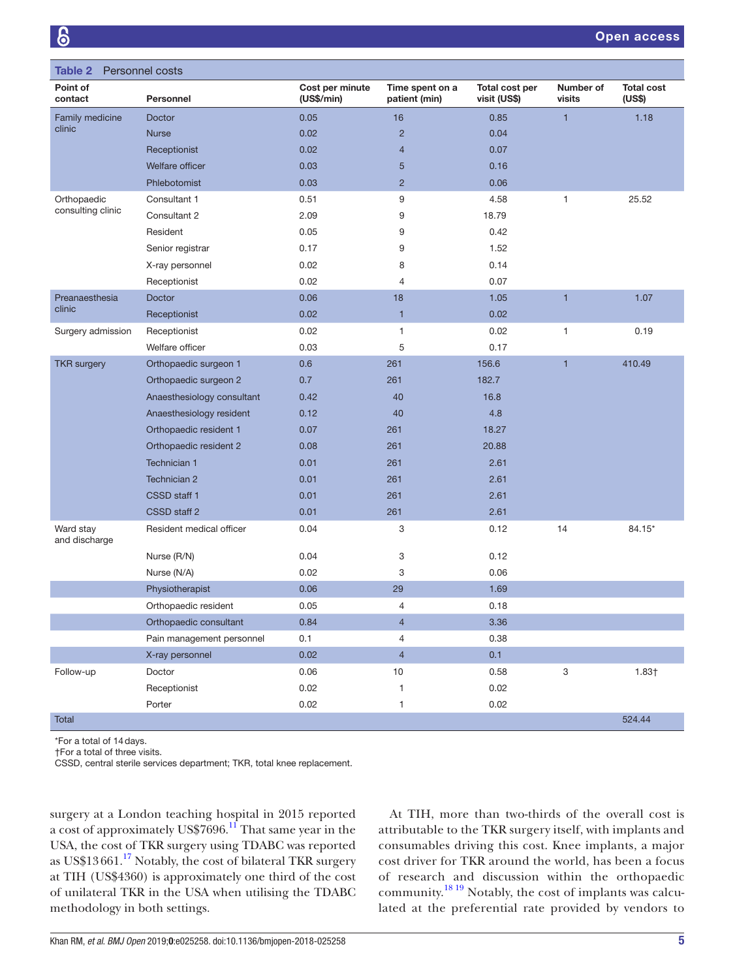<span id="page-4-0"></span>

| <b>Table 2</b><br>Personnel costs |                            |                               |                                  |                                |                     |                             |
|-----------------------------------|----------------------------|-------------------------------|----------------------------------|--------------------------------|---------------------|-----------------------------|
| Point of<br>contact               | Personnel                  | Cost per minute<br>(US\$/min) | Time spent on a<br>patient (min) | Total cost per<br>visit (US\$) | Number of<br>visits | <b>Total cost</b><br>(US\$) |
| Family medicine<br>clinic         | Doctor                     | 0.05                          | 16                               | 0.85                           | $\mathbf{1}$        | 1.18                        |
|                                   | <b>Nurse</b>               | 0.02                          | $\overline{c}$                   | 0.04                           |                     |                             |
|                                   | Receptionist               | 0.02                          | $\overline{4}$                   | 0.07                           |                     |                             |
|                                   | Welfare officer            | 0.03                          | 5                                | 0.16                           |                     |                             |
|                                   | Phlebotomist               | 0.03                          | $\overline{2}$                   | 0.06                           |                     |                             |
| Orthopaedic                       | Consultant 1               | 0.51                          | 9                                | 4.58                           | $\mathbf{1}$        | 25.52                       |
| consulting clinic                 | Consultant 2               | 2.09                          | 9                                | 18.79                          |                     |                             |
|                                   | Resident                   | 0.05                          | 9                                | 0.42                           |                     |                             |
|                                   | Senior registrar           | 0.17                          | 9                                | 1.52                           |                     |                             |
|                                   | X-ray personnel            | 0.02                          | 8                                | 0.14                           |                     |                             |
|                                   | Receptionist               | 0.02                          | 4                                | 0.07                           |                     |                             |
| Preanaesthesia                    | Doctor                     | 0.06                          | 18                               | 1.05                           | $\mathbf{1}$        | 1.07                        |
| clinic                            | Receptionist               | 0.02                          | $\mathbf{1}$                     | 0.02                           |                     |                             |
| Surgery admission                 | Receptionist               | 0.02                          | 1                                | 0.02                           | $\mathbf{1}$        | 0.19                        |
|                                   | Welfare officer            | 0.03                          | 5                                | 0.17                           |                     |                             |
| <b>TKR</b> surgery                | Orthopaedic surgeon 1      | 0.6                           | 261                              | 156.6                          | $\mathbf{1}$        | 410.49                      |
|                                   | Orthopaedic surgeon 2      | 0.7                           | 261                              | 182.7                          |                     |                             |
|                                   | Anaesthesiology consultant | 0.42                          | 40                               | 16.8                           |                     |                             |
|                                   | Anaesthesiology resident   | 0.12                          | 40                               | 4.8                            |                     |                             |
|                                   | Orthopaedic resident 1     | 0.07                          | 261                              | 18.27                          |                     |                             |
|                                   | Orthopaedic resident 2     | 0.08                          | 261                              | 20.88                          |                     |                             |
|                                   | Technician 1               | 0.01                          | 261                              | 2.61                           |                     |                             |
|                                   | Technician 2               | 0.01                          | 261                              | 2.61                           |                     |                             |
|                                   | CSSD staff 1               | 0.01                          | 261                              | 2.61                           |                     |                             |
|                                   | CSSD staff 2               | 0.01                          | 261                              | 2.61                           |                     |                             |
| Ward stay<br>and discharge        | Resident medical officer   | 0.04                          | 3                                | 0.12                           | 14                  | 84.15*                      |
|                                   | Nurse (R/N)                | 0.04                          | 3                                | 0.12                           |                     |                             |
|                                   | Nurse (N/A)                | 0.02                          | 3                                | 0.06                           |                     |                             |
|                                   | Physiotherapist            | 0.06                          | 29                               | 1.69                           |                     |                             |
|                                   | Orthopaedic resident       | 0.05                          | 4                                | 0.18                           |                     |                             |
|                                   | Orthopaedic consultant     | 0.84                          | 4                                | 3.36                           |                     |                             |
|                                   | Pain management personnel  | 0.1                           | 4                                | 0.38                           |                     |                             |
|                                   | X-ray personnel            | 0.02                          | $\overline{4}$                   | 0.1                            |                     |                             |
| Follow-up                         | Doctor                     | 0.06                          | $10$                             | 0.58                           | 3                   | 1.83 <sub>†</sub>           |
|                                   | Receptionist               | 0.02                          | 1                                | 0.02                           |                     |                             |
|                                   | Porter                     | 0.02                          | 1                                | 0.02                           |                     |                             |
| Total                             |                            |                               |                                  |                                |                     | 524.44                      |

\*For a total of 14days.

†For a total of three visits.

CSSD, central sterile services department; TKR, total knee replacement.

surgery at a London teaching hospital in 2015 reported a cost of approximately US\$7696.[11](#page-6-11) That same year in the USA, the cost of TKR surgery using TDABC was reported as US\$13661.[17](#page-7-0) Notably, the cost of bilateral TKR surgery at TIH (US\$4360) is approximately one third of the cost of unilateral TKR in the USA when utilising the TDABC methodology in both settings.

At TIH, more than two-thirds of the overall cost is attributable to the TKR surgery itself, with implants and consumables driving this cost. Knee implants, a major cost driver for TKR around the world, has been a focus of research and discussion within the orthopaedic community.[18 19](#page-7-1) Notably, the cost of implants was calculated at the preferential rate provided by vendors to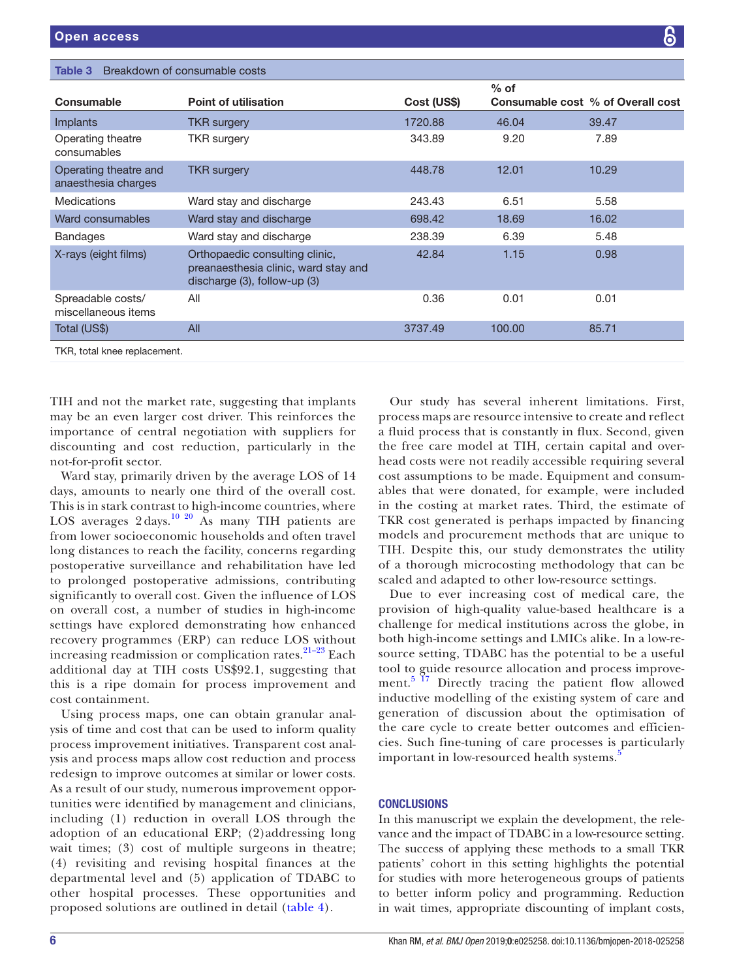<span id="page-5-0"></span>

| Breakdown of consumable costs<br>Table 3     |                                                                                                             |             |        |                                   |  |  |
|----------------------------------------------|-------------------------------------------------------------------------------------------------------------|-------------|--------|-----------------------------------|--|--|
| Consumable                                   | <b>Point of utilisation</b>                                                                                 | Cost (US\$) | $%$ of | Consumable cost % of Overall cost |  |  |
| <i>Implants</i>                              | <b>TKR</b> surgery                                                                                          | 1720.88     | 46.04  | 39.47                             |  |  |
| Operating theatre<br>consumables             | TKR surgery                                                                                                 | 343.89      | 9.20   | 7.89                              |  |  |
| Operating theatre and<br>anaesthesia charges | <b>TKR</b> surgery                                                                                          | 448.78      | 12.01  | 10.29                             |  |  |
| Medications                                  | Ward stay and discharge                                                                                     | 243.43      | 6.51   | 5.58                              |  |  |
| Ward consumables                             | Ward stay and discharge                                                                                     | 698.42      | 18.69  | 16.02                             |  |  |
| <b>Bandages</b>                              | Ward stay and discharge                                                                                     | 238.39      | 6.39   | 5.48                              |  |  |
| X-rays (eight films)                         | Orthopaedic consulting clinic,<br>preanaesthesia clinic, ward stay and<br>discharge $(3)$ , follow-up $(3)$ | 42.84       | 1.15   | 0.98                              |  |  |
| Spreadable costs/<br>miscellaneous items     | All                                                                                                         | 0.36        | 0.01   | 0.01                              |  |  |
| Total (US\$)                                 | All                                                                                                         | 3737.49     | 100.00 | 85.71                             |  |  |
| TKR, total knee replacement.                 |                                                                                                             |             |        |                                   |  |  |

TIH and not the market rate, suggesting that implants may be an even larger cost driver. This reinforces the importance of central negotiation with suppliers for discounting and cost reduction, particularly in the not-for-profit sector.

Ward stay, primarily driven by the average LOS of 14 days, amounts to nearly one third of the overall cost. This is in stark contrast to high-income countries, where LOS averages  $2 \text{ days}$ .<sup>10 20</sup> As many TIH patients are from lower socioeconomic households and often travel long distances to reach the facility, concerns regarding postoperative surveillance and rehabilitation have led to prolonged postoperative admissions, contributing significantly to overall cost. Given the influence of LOS on overall cost, a number of studies in high-income settings have explored demonstrating how enhanced recovery programmes (ERP) can reduce LOS without increasing readmission or complication rates.<sup>21-23</sup> Each additional day at TIH costs US\$92.1, suggesting that this is a ripe domain for process improvement and cost containment.

Using process maps, one can obtain granular analysis of time and cost that can be used to inform quality process improvement initiatives. Transparent cost analysis and process maps allow cost reduction and process redesign to improve outcomes at similar or lower costs. As a result of our study, numerous improvement opportunities were identified by management and clinicians, including (1) reduction in overall LOS through the adoption of an educational ERP; (2)addressing long wait times; (3) cost of multiple surgeons in theatre; (4) revisiting and revising hospital finances at the departmental level and (5) application of TDABC to other hospital processes. These opportunities and proposed solutions are outlined in detail [\(table](#page-6-13) 4).

Our study has several inherent limitations. First, process maps are resource intensive to create and reflect a fluid process that is constantly in flux. Second, given the free care model at TIH, certain capital and overhead costs were not readily accessible requiring several cost assumptions to be made. Equipment and consumables that were donated, for example, were included in the costing at market rates. Third, the estimate of TKR cost generated is perhaps impacted by financing models and procurement methods that are unique to TIH. Despite this, our study demonstrates the utility of a thorough microcosting methodology that can be scaled and adapted to other low-resource settings.

Due to ever increasing cost of medical care, the provision of high-quality value-based healthcare is a challenge for medical institutions across the globe, in both high-income settings and LMICs alike. In a low-resource setting, TDABC has the potential to be a useful tool to guide resource allocation and process improvement. $5<sup>17</sup>$  Directly tracing the patient flow allowed inductive modelling of the existing system of care and generation of discussion about the optimisation of the care cycle to create better outcomes and efficiencies. Such fine-tuning of care processes is particularly important in low-resourced health systems.<sup>[5](#page-6-4)</sup>

#### **CONCLUSIONS**

In this manuscript we explain the development, the relevance and the impact of TDABC in a low-resource setting. The success of applying these methods to a small TKR patients' cohort in this setting highlights the potential for studies with more heterogeneous groups of patients to better inform policy and programming. Reduction in wait times, appropriate discounting of implant costs,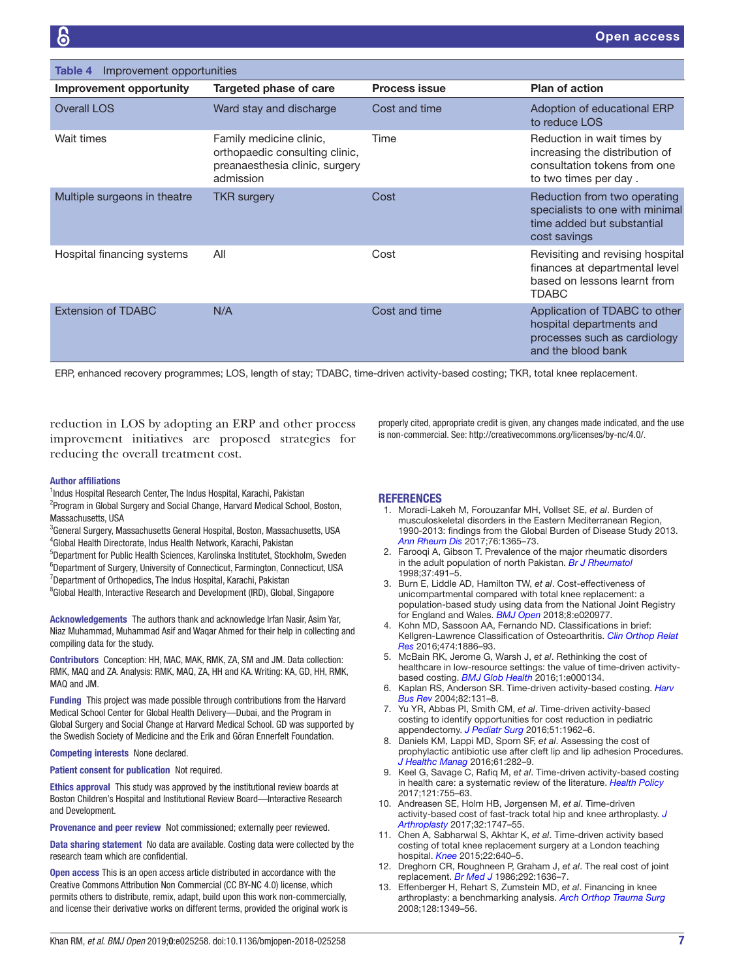<span id="page-6-13"></span>

| Improvement opportunities<br>Table 4 |                                                                                                          |                      |                                                                                                                       |  |  |
|--------------------------------------|----------------------------------------------------------------------------------------------------------|----------------------|-----------------------------------------------------------------------------------------------------------------------|--|--|
| Improvement opportunity              | Targeted phase of care                                                                                   | <b>Process issue</b> | <b>Plan of action</b>                                                                                                 |  |  |
| <b>Overall LOS</b>                   | Ward stay and discharge                                                                                  | Cost and time        | Adoption of educational ERP<br>to reduce LOS                                                                          |  |  |
| Wait times                           | Family medicine clinic,<br>orthopaedic consulting clinic,<br>preanaesthesia clinic, surgery<br>admission | Time                 | Reduction in wait times by<br>increasing the distribution of<br>consultation tokens from one<br>to two times per day. |  |  |
| Multiple surgeons in theatre         | <b>TKR</b> surgery                                                                                       | Cost                 | Reduction from two operating<br>specialists to one with minimal<br>time added but substantial<br>cost savings         |  |  |
| Hospital financing systems           | All                                                                                                      | Cost                 | Revisiting and revising hospital<br>finances at departmental level<br>based on lessons learnt from<br><b>TDABC</b>    |  |  |
| <b>Extension of TDABC</b>            | N/A                                                                                                      | Cost and time        | Application of TDABC to other<br>hospital departments and<br>processes such as cardiology<br>and the blood bank       |  |  |

ERP, enhanced recovery programmes; LOS, length of stay; TDABC, time-driven activity-based costing; TKR, total knee replacement.

reduction in LOS by adopting an ERP and other process improvement initiatives are proposed strategies for reducing the overall treatment cost.

#### Author affiliations

<sup>1</sup>Indus Hospital Research Center, The Indus Hospital, Karachi, Pakistan <sup>2</sup>Program in Global Surgery and Social Change, Harvard Medical School, Boston, Massachusetts, USA

3 General Surgery, Massachusetts General Hospital, Boston, Massachusetts, USA 4 Global Health Directorate, Indus Health Network, Karachi, Pakistan

5 Department for Public Health Sciences, Karolinska Institutet, Stockholm, Sweden <sup>6</sup>Department of Surgery, University of Connecticut, Farmington, Connecticut, USA <sup>7</sup>Department of Orthopedics, The Indus Hospital, Karachi, Pakistan <sup>8</sup>Global Health, Interactive Research and Development (IRD), Global, Singapore

Acknowledgements The authors thank and acknowledge Irfan Nasir, Asim Yar, Niaz Muhammad, Muhammad Asif and Waqar Ahmed for their help in collecting and compiling data for the study.

Contributors Conception: HH, MAC, MAK, RMK, ZA, SM and JM. Data collection: RMK, MAQ and ZA. Analysis: RMK, MAQ, ZA, HH and KA. Writing: KA, GD, HH, RMK, MAQ and JM.

Funding This project was made possible through contributions from the Harvard Medical School Center for Global Health Delivery—Dubai, and the Program in Global Surgery and Social Change at Harvard Medical School. GD was supported by the Swedish Society of Medicine and the Erik and Göran Ennerfelt Foundation.

#### Competing interests None declared.

Patient consent for publication Not required.

Ethics approval This study was approved by the institutional review boards at Boston Children's Hospital and Institutional Review Board—Interactive Research and Development.

Provenance and peer review Not commissioned; externally peer reviewed.

Data sharing statement No data are available. Costing data were collected by the research team which are confidential.

Open access This is an open access article distributed in accordance with the Creative Commons Attribution Non Commercial (CC BY-NC 4.0) license, which permits others to distribute, remix, adapt, build upon this work non-commercially, and license their derivative works on different terms, provided the original work is **REFERENCES** 

<span id="page-6-0"></span>1. Moradi-Lakeh M, Forouzanfar MH, Vollset SE, *et al*. Burden of musculoskeletal disorders in the Eastern Mediterranean Region, 1990-2013: findings from the Global Burden of Disease Study 2013. *[Ann Rheum Dis](http://dx.doi.org/10.1136/annrheumdis-2016-210146)* 2017;76:1365–73.

properly cited, appropriate credit is given, any changes made indicated, and the use is non-commercial. See: [http://creativecommons.org/licenses/by-nc/4.0/.](http://creativecommons.org/licenses/by-nc/4.0/)

- <span id="page-6-1"></span>2. Farooqi A, Gibson T. Prevalence of the major rheumatic disorders in the adult population of north Pakistan. *[Br J Rheumatol](http://dx.doi.org/10.1093/rheumatology/37.5.491)* 1998;37:491–5.
- <span id="page-6-2"></span>3. Burn E, Liddle AD, Hamilton TW, *et al*. Cost-effectiveness of unicompartmental compared with total knee replacement: a population-based study using data from the National Joint Registry for England and Wales. *[BMJ Open](http://dx.doi.org/10.1136/bmjopen-2017-020977)* 2018;8:e020977.
- <span id="page-6-3"></span>4. Kohn MD, Sassoon AA, Fernando ND. Classifications in brief: Kellgren-Lawrence Classification of Osteoarthritis. *[Clin Orthop Relat](http://dx.doi.org/10.1007/s11999-016-4732-4)  [Res](http://dx.doi.org/10.1007/s11999-016-4732-4)* 2016;474:1886–93.
- <span id="page-6-4"></span>5. McBain RK, Jerome G, Warsh J, *et al*. Rethinking the cost of healthcare in low-resource settings: the value of time-driven activitybased costing. *[BMJ Glob Health](http://dx.doi.org/10.1136/bmjgh-2016-000134)* 2016;1:e000134.
- <span id="page-6-5"></span>6. Kaplan RS, Anderson SR. Time-driven activity-based costing. *[Harv](http://www.ncbi.nlm.nih.gov/pubmed/15559451)  [Bus Rev](http://www.ncbi.nlm.nih.gov/pubmed/15559451)* 2004;82:131–8.
- <span id="page-6-6"></span>7. Yu YR, Abbas PI, Smith CM, *et al*. Time-driven activity-based costing to identify opportunities for cost reduction in pediatric appendectomy. *[J Pediatr Surg](http://dx.doi.org/10.1016/j.jpedsurg.2016.09.019)* 2016;51:1962–6.
- <span id="page-6-7"></span>8. Daniels KM, Lappi MD, Sporn SF, *et al*. Assessing the cost of prophylactic antibiotic use after cleft lip and lip adhesion Procedures. *[J Healthc Manag](http://dx.doi.org/10.1097/00115514-201607000-00007)* 2016;61:282–9.
- <span id="page-6-8"></span>9. Keel G, Savage C, Rafiq M, *et al*. Time-driven activity-based costing in health care: a systematic review of the literature. *[Health Policy](http://dx.doi.org/10.1016/j.healthpol.2017.04.013)* 2017;121:755–63.
- <span id="page-6-12"></span>10. Andreasen SE, Holm HB, Jørgensen M, *et al*. Time-driven activity-based cost of fast-track total hip and knee arthroplasty. *[J](http://dx.doi.org/10.1016/j.arth.2016.12.040)  [Arthroplasty](http://dx.doi.org/10.1016/j.arth.2016.12.040)* 2017;32:1747–55.
- <span id="page-6-11"></span>11. Chen A, Sabharwal S, Akhtar K, *et al*. Time-driven activity based costing of total knee replacement surgery at a London teaching hospital. *[Knee](http://dx.doi.org/10.1016/j.knee.2015.07.006)* 2015;22:640–5.
- <span id="page-6-9"></span>12. Dreghorn CR, Roughneen P, Graham J, *et al*. The real cost of joint replacement. *[Br Med J](http://dx.doi.org/10.1136/bmj.292.6536.1636-a)* 1986;292:1636–7.
- <span id="page-6-10"></span>13. Effenberger H, Rehart S, Zumstein MD, *et al*. Financing in knee arthroplasty: a benchmarking analysis. *[Arch Orthop Trauma Surg](http://dx.doi.org/10.1007/s00402-008-0570-5)* 2008;128:1349–56.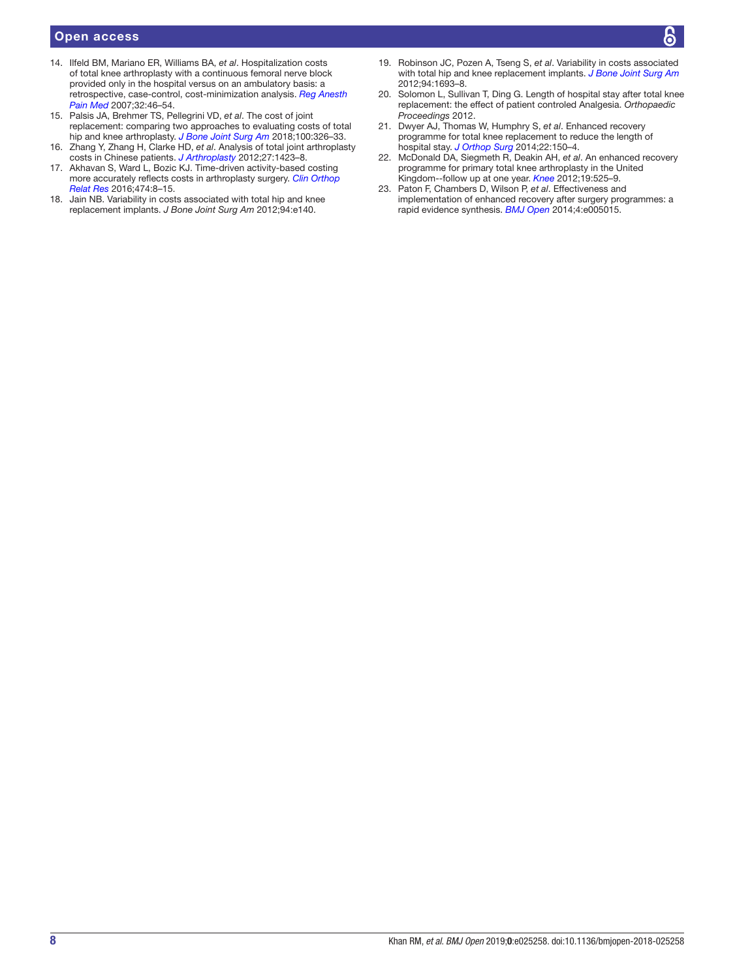#### Open access

- 14. Ilfeld BM, Mariano ER, Williams BA, *et al*. Hospitalization costs of total knee arthroplasty with a continuous femoral nerve block provided only in the hospital versus on an ambulatory basis: a retrospective, case-control, cost-minimization analysis. *[Reg Anesth](http://dx.doi.org/10.1016/j.rapm.2006.10.010)  [Pain Med](http://dx.doi.org/10.1016/j.rapm.2006.10.010)* 2007;32:46–54.
- 15. Palsis JA, Brehmer TS, Pellegrini VD, *et al*. The cost of joint replacement: comparing two approaches to evaluating costs of total hip and knee arthroplasty. *[J Bone Joint Surg Am](http://dx.doi.org/10.2106/JBJS.17.00161)* 2018;100:326–33.
- 16. Zhang Y, Zhang H, Clarke HD, *et al*. Analysis of total joint arthroplasty costs in Chinese patients. *[J Arthroplasty](http://dx.doi.org/10.1016/j.arth.2012.01.014)* 2012;27:1423–8.
- <span id="page-7-0"></span>17. Akhavan S, Ward L, Bozic KJ. Time-driven activity-based costing more accurately reflects costs in arthroplasty surgery. *[Clin Orthop](http://dx.doi.org/10.1007/s11999-015-4214-0)  [Relat Res](http://dx.doi.org/10.1007/s11999-015-4214-0)* 2016;474:8–15.
- <span id="page-7-1"></span>18. Jain NB. Variability in costs associated with total hip and knee replacement implants. *J Bone Joint Surg Am* 2012;94:e140.
- 19. Robinson JC, Pozen A, Tseng S, *et al*. Variability in costs associated with total hip and knee replacement implants. *[J Bone Joint Surg Am](http://dx.doi.org/10.2106/JBJS.K.00355)* 2012;94:1693–8.
- 20. Solomon L, Sullivan T, Ding G. Length of hospital stay after total knee replacement: the effect of patient controled Analgesia. *Orthopaedic Proceedings* 2012.
- <span id="page-7-2"></span>21. Dwyer AJ, Thomas W, Humphry S, *et al*. Enhanced recovery programme for total knee replacement to reduce the length of hospital stay. *[J Orthop Surg](http://dx.doi.org/10.1177/230949901402200206)* 2014;22:150–4.
- 22. McDonald DA, Siegmeth R, Deakin AH, *et al*. An enhanced recovery programme for primary total knee arthroplasty in the United Kingdom--follow up at one year. *[Knee](http://dx.doi.org/10.1016/j.knee.2011.07.012)* 2012;19:525–9.
- 23. Paton F, Chambers D, Wilson P, *et al*. Effectiveness and implementation of enhanced recovery after surgery programmes: a rapid evidence synthesis. *[BMJ Open](http://dx.doi.org/10.1136/bmjopen-2014-005015)* 2014;4:e005015.